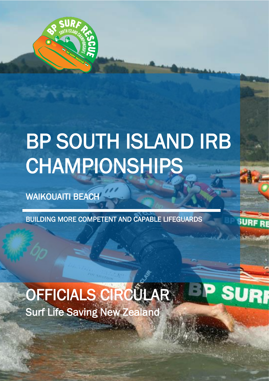

# BP SOUTH ISLAND IRB CHAMPIONSHIPS

ww.surflife.org.nz

**SURI** 

WAIKOUAITI BEACH

27 MARCH 2021

BUILDING MORE COMPETENT AND CAPABLE LIFEGUARDS

# Surf Life Saving New Zealand OFFICIALS CIRCULAR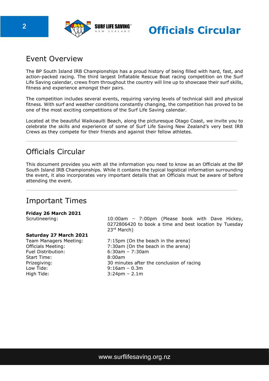

**2 Comparison SURF LIFE SAVING Circular** 

# Event Overview

The BP South Island IRB Championships has a proud history of being filled with hard, fast, and action-packed racing. The third largest Inflatable Rescue Boat racing competition on the Surf Life Saving calendar, crews from throughout the country will line up to showcase their surf skills, fitness and experience amongst their pairs.

The competition includes several events, requiring varying levels of technical skill and physical fitness. With surf and weather conditions constantly changing, the competition has proved to be one of the most exciting competitions of the Surf Life Saving calendar.

Located at the beautiful Waikoauiti Beach, along the picturesque Otago Coast, we invite you to celebrate the skills and experience of some of Surf Life Saving New Zealand's very best IRB Crews as they compete for their friends and against their fellow athletes.

# Officials Circular

This document provides you with all the information you need to know as an Officials at the BP South Island IRB Championships. While it contains the typical logistical information surrounding the event, it also incorporates very important details that an Officials must be aware of before attending the event.

# Important Times

#### **Friday 26 March 2021**

#### **Saturday 27 March 2021**

Fuel Distribution: 6:30am – 7:30am Start Time: 8:00am Low Tide: 9:16am – 0.3m High Tide: 3:24pm – 2.1m

Scrutineering: 10:00am – 7:00pm (Please book with Dave Hickey, 0272806420 to book a time and best location by Tuesday 23rd March)

Team Managers Meeting: 7:15pm (On the beach in the arena) Officials Meeting: 7:30am (On the beach in the arena) Prizegiving: 30 minutes after the conclusion of racing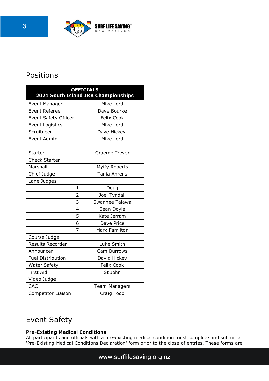

# Positions

| <b>OFFICIALS</b><br>2021 South Island IRB Championships |                      |
|---------------------------------------------------------|----------------------|
| <b>Event Manager</b>                                    | Mike Lord            |
| <b>Event Referee</b>                                    | Dave Bourke          |
| Event Safety Officer                                    | <b>Felix Cook</b>    |
| <b>Event Logistics</b>                                  | Mike Lord            |
| Scruitneer                                              | Dave Hickey          |
| Event Admin                                             | Mike Lord            |
|                                                         |                      |
| <b>Starter</b>                                          | <b>Graeme Trevor</b> |
| <b>Check Starter</b>                                    |                      |
| Marshall                                                | Myffy Roberts        |
| Chief Judge                                             | Tania Ahrens         |
| Lane Judges                                             |                      |
| 1                                                       | Doug                 |
| 2                                                       | Joel Tyndall         |
| 3                                                       | Swannee Taiawa       |
| $\overline{4}$                                          | Sean Doyle           |
| 5                                                       | Kate Jerram          |
| 6                                                       | Dave Price           |
| 7                                                       | <b>Mark Familton</b> |
| Course Judge                                            |                      |
| <b>Results Recorder</b>                                 | Luke Smith           |
| Announcer                                               | Cam Burrows          |
| <b>Fuel Distribution</b>                                | David Hickey         |
| <b>Water Safety</b>                                     | <b>Felix Cook</b>    |
| <b>First Aid</b>                                        | St John              |
| Video Judge                                             |                      |
| CAC                                                     | <b>Team Managers</b> |
| Competitor Liaison                                      | Craig Todd           |

# Event Safety

#### **Pre-Existing Medical Conditions**

All participants and officials with a pre-existing medical condition must complete and submit a 'Pre-Existing Medical Conditions Declaration' form prior to the close of entries. These forms are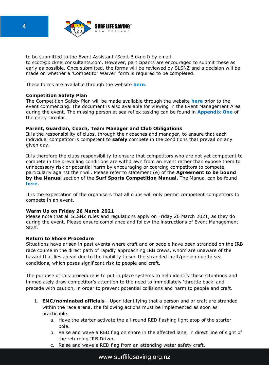

to be submitted to the Event Assistant (Scott Bicknell) by email to scott@bicknellconsultants.com. However, participants are encouraged to submit these as early as possible. Once submitted, the forms will be reviewed by SLSNZ and a decision will be made on whether a 'Competitor Waiver' form is required to be completed.

These forms are available through the website **[here](https://www.surflifesaving.org.nz/calendar/2021/march/2021-bp-surf-rescue-south-island-championships)**.

#### **Competition Safety Plan**

The Competition Safety Plan will be made available through the website **[here](https://www.surflifesaving.org.nz/calendar/2021/march/2021-bp-surf-rescue-south-island-championships)** prior to the event commencing. The document is also available for viewing in the Event Management Area during the event. The missing person at sea reflex tasking can be found in **Appendix One** of the entry circular.

#### **Parent, Guardian, Coach, Team Manager and Club Obligations**

It is the responsibility of clubs, through their coaches and manager, to ensure that each individual competitor is competent to **safely** compete in the conditions that prevail on any given day.

It is therefore the clubs responsibility to ensure that competitors who are not yet competent to compete in the prevailing conditions are withdrawn from an event rather than expose them to unnecessary risk or potential harm by encouraging or coercing competitors to compete, particularly against their will. Please refer to statement (e) of the **Agreement to be bound by the Manual** section of the **Surf Sports Competition Manual.** The Manual can be found **[here](https://www.surflifesaving.org.nz/sport/official-coach-development/officials-tool-box)**.

It is the expectation of the organisers that all clubs will only permit competent competitors to compete in an event.

#### **Warm Up on Friday 26 March 2021**

Please note that all SLSNZ rules and regulations apply on Friday 26 March 2021, as they do during the event. Please ensure compliance and follow the instructions of Event Management Staff.

#### **Return to Shore Procedure**

Situations have arisen in past events where craft and or people have been stranded on the IRB race course in the direct path of rapidly approaching IRB crews, whom are unaware of the hazard that lies ahead due to the inability to see the stranded craft/person due to sea conditions, which poses significant risk to people and craft.

The purpose of this procedure is to put in place systems to help identify these situations and immediately draw competitor's attention to the need to immediately 'throttle back' and precede with caution, in order to prevent potential collisions and harm to people and craft.

- 1. **EMC/nominated officials** Upon identifying that a person and or craft are stranded within the race arena, the following actions must be implemented as soon as practicable.
	- a. Have the starter activate the all-round RED flashing light atop of the starter pole.
	- b. Raise and wave a RED flag on shore in the affected lane, in direct line of sight of the returning IRB Driver.
	- c. Raise and wave a RED flag from an attending water safety craft.

www.surflifesaving.org.nz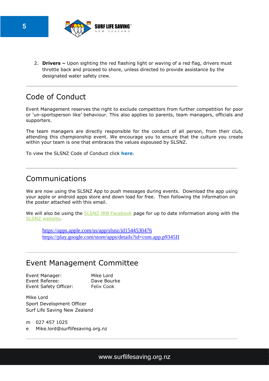

2. **Drivers –** Upon sighting the red flashing light or waving of a red flag, drivers must throttle back and proceed to shore, unless directed to provide assistance by the designated water safety crew.

# Code of Conduct

Event Management reserves the right to exclude competitors from further competition for poor or 'un-sportsperson like' behaviour. This also applies to parents, team managers, officials and supporters.

The team managers are directly responsible for the conduct of all person, from their club, attending this championship event. We encourage you to ensure that the culture you create within your team is one that embraces the values espoused by SLSNZ.

To view the SLSNZ Code of Conduct click **[here](https://www.surflifesaving.org.nz/about-us/key-documents/regulations)**.

### Communications

We are now using the SLSNZ App to push messages during events. Download the app using your apple or android apps store and down load for free. Then following the information on the poster attached with this email.

We will also be using the SLSNZ IRB [Facebook](https://www.facebook.com/groups/273321807460698) page for up to date information along with the SLSNZ [website.](https://www.surflifesaving.org.nz/calendar/2021/march/2021-bp-surf-rescue-south-island-championships)

 <https://apps.apple.com/us/app/slsnz/id1544530476> <https://play.google.com/store/apps/details?id=com.app.p9345II>

## Event Management Committee

Event Manager: Mike Lord Event Referee: Dave Bourke Event Safety Officer: Felix Cook

Mike Lord Sport Development Officer Surf Life Saving New Zealand

m 027 457 1025

e Mike.lord@surflifesaving.org.nz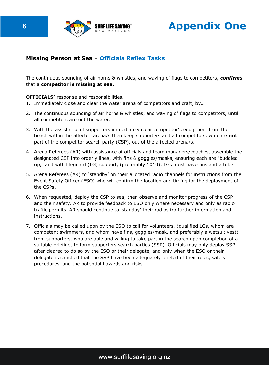

**6 CONFIDENTIAL SURFLIFE SAVING Appendix One** 

#### **Missing Person at Sea - Officials Reflex Tasks**

The continuous sounding of air horns & whistles, and waving of flags to competitors, *confirms*  that a **competitor is missing at sea.** 

#### **OFFICIALS'** response and responsibilities.

- 1. Immediately close and clear the water arena of competitors and craft, by…
- 2. The continuous sounding of air horns & whistles, and waving of flags to competitors, until all competitors are out the water.
- 3. With the assistance of supporters immediately clear competitor's equipment from the beach within the affected arena/s then keep supporters and all competitors, who are **not**  part of the competitor search party (CSP), out of the affected arena/s.
- 4. Arena Referees (AR) with assistance of officials and team managers/coaches, assemble the designated CSP into orderly lines, with fins & goggles/masks, ensuring each are "buddied up," and with lifeguard (LG) support, (preferably 1X10). LGs must have fins and a tube.
- 5. Arena Referees (AR) to 'standby' on their allocated radio channels for instructions from the Event Safety Officer (ESO) who will confirm the location and timing for the deployment of the CSPs.
- 6. When requested, deploy the CSP to sea, then observe and monitor progress of the CSP and their safety. AR to provide feedback to ESO only where necessary and only as radio traffic permits. AR should continue to 'standby' their radios fro further information and instructions.
- 7. Officials may be called upon by the ESO to call for volunteers, (qualified LGs, whom are competent swimmers, and whom have fins, goggles/mask, and preferably a wetsuit vest) from supporters, who are able and willing to take part in the search upon completion of a suitable briefing, to form supporters search parties (SSP). Officials may only deploy SSP after cleared to do so by the ESO or their delegate, and only when the ESO or their delegate is satisfied that the SSP have been adequately briefed of their roles, safety procedures, and the potential hazards and risks.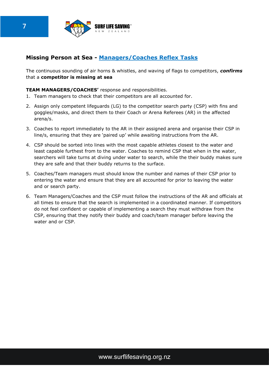

#### **Missing Person at Sea - Managers/Coaches Reflex Tasks**

The continuous sounding of air horns & whistles, and waving of flags to competitors, *confirms*  that a **competitor is missing at sea** 

#### **TEAM MANAGERS/COACHES'** response and responsibilities.

- 1. Team managers to check that their competitors are all accounted for.
- 2. Assign only competent lifeguards (LG) to the competitor search party (CSP) with fins and goggles/masks, and direct them to their Coach or Arena Referees (AR) in the affected arena/s.
- 3. Coaches to report immediately to the AR in their assigned arena and organise their CSP in line/s, ensuring that they are 'paired up' while awaiting instructions from the AR.
- 4. CSP should be sorted into lines with the most capable athletes closest to the water and least capable furthest from to the water. Coaches to remind CSP that when in the water, searchers will take turns at diving under water to search, while the their buddy makes sure they are safe and that their buddy returns to the surface.
- 5. Coaches/Team managers must should know the number and names of their CSP prior to entering the water and ensure that they are all accounted for prior to leaving the water and or search party.
- 6. Team Managers/Coaches and the CSP must follow the instructions of the AR and officials at all times to ensure that the search is implemented in a coordinated manner. If competitors do not feel confident or capable of implementing a search they must withdraw from the CSP, ensuring that they notify their buddy and coach/team manager before leaving the water and or CSP.